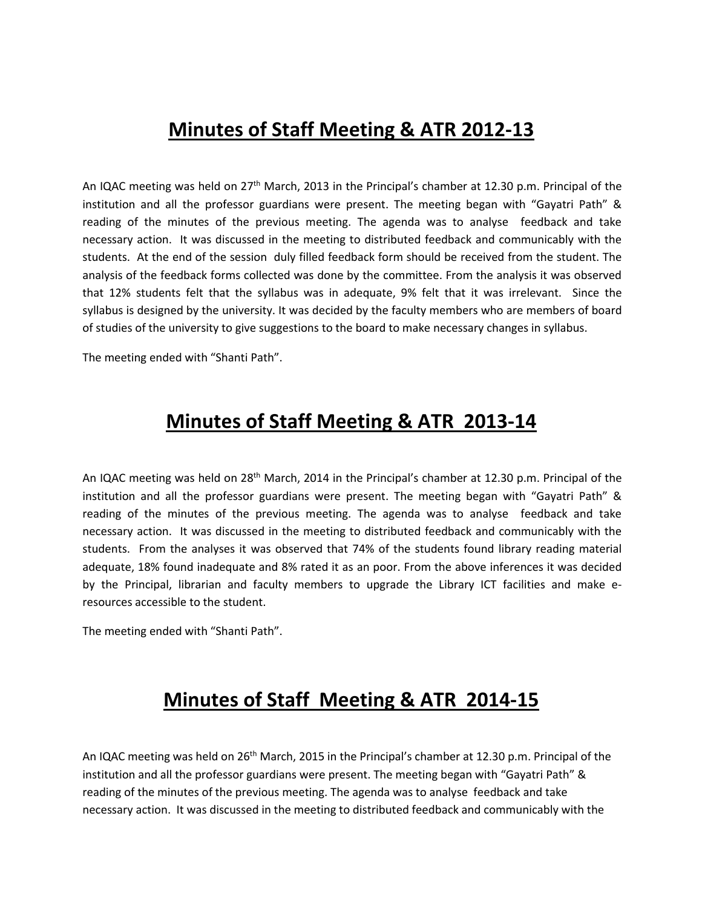## **Minutes of Staff Meeting & ATR 2012-13**

An IQAC meeting was held on 27<sup>th</sup> March, 2013 in the Principal's chamber at 12.30 p.m. Principal of the institution and all the professor guardians were present. The meeting began with "Gayatri Path" & reading of the minutes of the previous meeting. The agenda was to analyse feedback and take necessary action. It was discussed in the meeting to distributed feedback and communicably with the students. At the end of the session duly filled feedback form should be received from the student. The analysis of the feedback forms collected was done by the committee. From the analysis it was observed that 12% students felt that the syllabus was in adequate, 9% felt that it was irrelevant. Since the syllabus is designed by the university. It was decided by the faculty members who are members of board of studies of the university to give suggestions to the board to make necessary changes in syllabus.

The meeting ended with "Shanti Path".

## **Minutes of Staff Meeting & ATR 2013-14**

An IQAC meeting was held on 28<sup>th</sup> March, 2014 in the Principal's chamber at 12.30 p.m. Principal of the institution and all the professor guardians were present. The meeting began with "Gayatri Path" & reading of the minutes of the previous meeting. The agenda was to analyse feedback and take necessary action. It was discussed in the meeting to distributed feedback and communicably with the students. From the analyses it was observed that 74% of the students found library reading material adequate, 18% found inadequate and 8% rated it as an poor. From the above inferences it was decided by the Principal, librarian and faculty members to upgrade the Library ICT facilities and make e resources accessible to the student.

The meeting ended with "Shanti Path".

### **Minutes of Staff Meeting & ATR 2014-15**

An IQAC meeting was held on 26<sup>th</sup> March, 2015 in the Principal's chamber at 12.30 p.m. Principal of the institution and all the professor guardians were present. The meeting began with "Gayatri Path" & reading of the minutes of the previous meeting. The agenda was to analyse feedback and take necessary action. It was discussed in the meeting to distributed feedback and communicably with the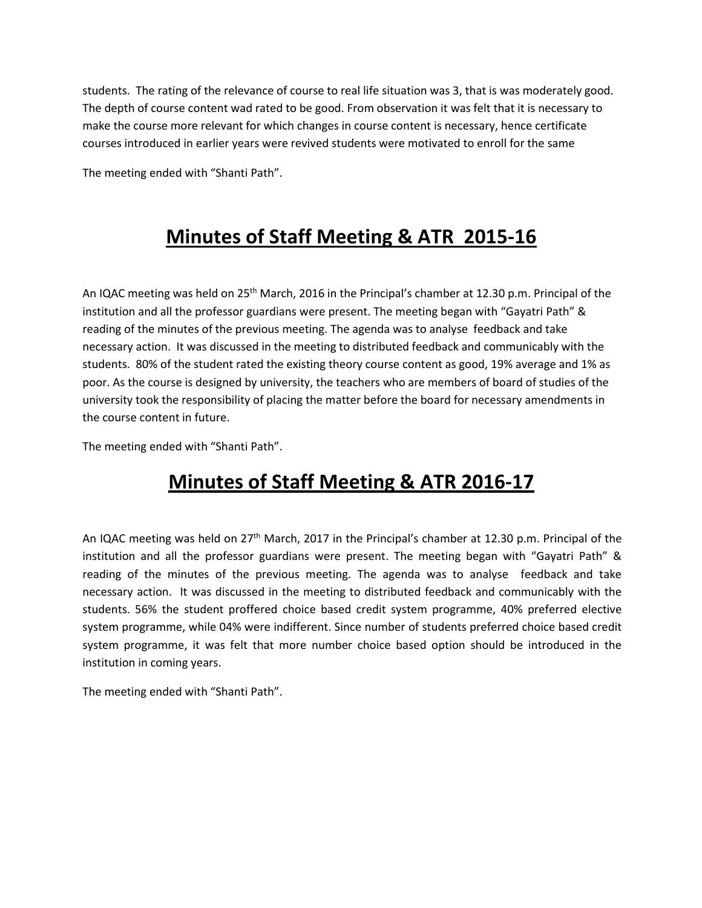students. The rating of the relevance of course to real life situation was 3, that is was moderately good. The depth of course content wad rated to be good. From observation it was felt that it is necessary to make the course more relevant for which changes in course content is necessary, hence certificate courses introduced in earlier years were revived students were motivated to enroll for the same

The meeting ended with "Shanti Path".

## **Minutes of Staff Meeting & ATR 2015-16**

An IQAC meeting was held on 25<sup>th</sup> March, 2016 in the Principal's chamber at 12.30 p.m. Principal of the institution and all the professor guardians were present. The meeting began with "Gayatri Path" & reading of the minutes of the previous meeting. The agenda was to analyse feedback and take necessary action. It was discussed in the meeting to distributed feedback and communicably with the students. 80% of the student rated the existing theory course content as good, 19% average and 1% as poor. As the course is designed by university, the teachers who are members of board of studies of the university took the responsibility of placing the matter before the board for necessary amendments in the course content in future.

The meeting ended with "Shanti Path".

## **Minutes of Staff Meeting & ATR 2016-17**

An IQAC meeting was held on 27<sup>th</sup> March, 2017 in the Principal's chamber at 12.30 p.m. Principal of the institution and all the professor guardians were present. The meeting began with "Gayatri Path" & reading of the minutes of the previous meeting. The agenda was to analyse feedback and take necessary action. It was discussed in the meeting to distributed feedback and communicably with the students. 56% the student proffered choice based credit system programme, 40% preferred elective system programme, while 04% were indifferent. Since number of students preferred choice based credit system programme, it was felt that more number choice based option should be introduced in the institution in coming years.

The meeting ended with "Shanti Path".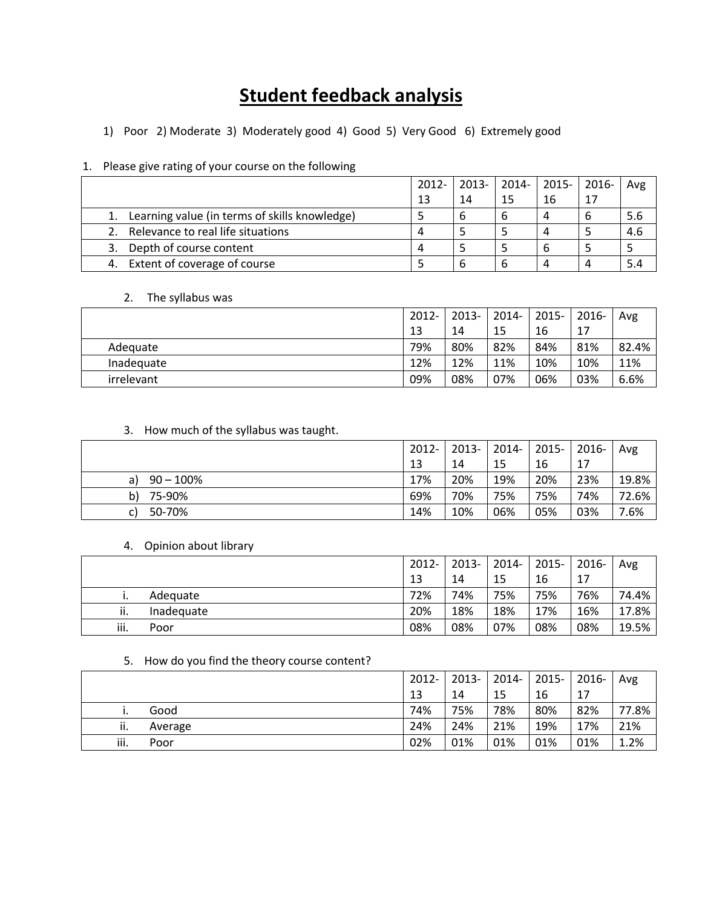# **Student feedback analysis**

1) Poor 2) Moderate 3) Moderately good 4) Good 5) Very Good 6) Extremely good

|    | -                                                |       |          |         |       |       |     |
|----|--------------------------------------------------|-------|----------|---------|-------|-------|-----|
|    |                                                  | 2012- | $2013 -$ | $2014-$ | 2015- | 2016- | Avg |
|    |                                                  | 13    | 14       | 15      | 16    |       |     |
|    | 1. Learning value (in terms of skills knowledge) |       |          |         |       |       | 5.6 |
|    | 2. Relevance to real life situations             |       |          |         |       |       | 4.6 |
|    | 3. Depth of course content                       |       |          |         |       |       |     |
| 4. | Extent of coverage of course                     |       |          |         |       |       | 5.4 |

#### 1. Please give rating of your course on the following

### 2. The syllabus was

|            | 2012-   | 2013- | 2014- | 2015- | 2016- | Avg   |
|------------|---------|-------|-------|-------|-------|-------|
|            | 12<br>ᅩ | 14    | 15    | 16    | 17    |       |
| Adequate   | 79%     | 80%   | 82%   | 84%   | 81%   | 82.4% |
| Inadequate | 12%     | 12%   | 11%   | 10%   | 10%   | 11%   |
| irrelevant | 09%     | 08%   | 07%   | 06%   | 03%   | 6.6%  |

### 3. How much of the syllabus was taught.

|                    | 2012- | $2013 -$ | 2014- | 2015- | 2016- | Avg   |
|--------------------|-------|----------|-------|-------|-------|-------|
|                    | 13    | 14       | 15    | 16    | 17    |       |
| $90 - 100\%$<br>a) | 17%   | 20%      | 19%   | 20%   | 23%   | 19.8% |
| 75-90%<br>b)       | 69%   | 70%      | 75%   | 75%   | 74%   | 72.6% |
| 50-70%             | 14%   | 10%      | 06%   | 05%   | 03%   | 7.6%  |

#### 4. Opinion about library

|      |            | 2012- | 2013- | 2014- | 2015- | 2016- | Avg   |
|------|------------|-------|-------|-------|-------|-------|-------|
|      |            | 13    | 14    | 15    | 16    | 17    |       |
|      | Adequate   | 72%   | 74%   | 75%   | 75%   | 76%   | 74.4% |
| ii.  | Inadequate | 20%   | 18%   | 18%   | 17%   | 16%   | 17.8% |
| iii. | Poor       | 08%   | 08%   | 07%   | 08%   | 08%   | 19.5% |

#### 5. How do you find the theory course content?

|      |         | 2012- | 2013- | 2014- | 2015- | 2016- | Avg   |
|------|---------|-------|-------|-------|-------|-------|-------|
|      |         | 13    | 14    | 15    | 16    | 17    |       |
|      | Good    | 74%   | 75%   | 78%   | 80%   | 82%   | 77.8% |
| ii.  | Average | 24%   | 24%   | 21%   | 19%   | 17%   | 21%   |
| iii. | Poor    | 02%   | 01%   | 01%   | 01%   | 01%   | 1.2%  |